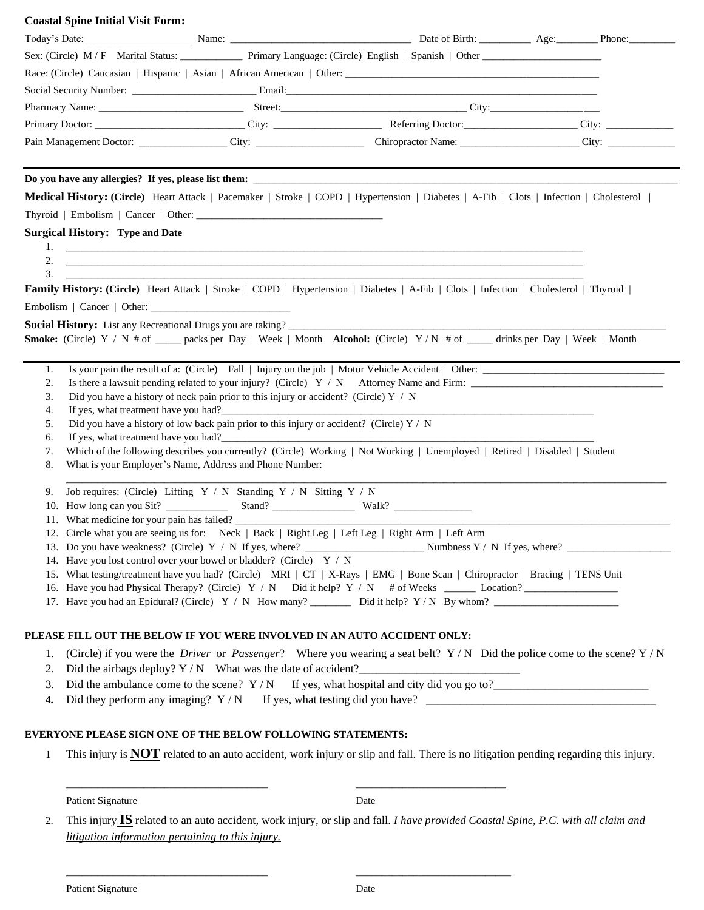#### **Coastal Spine Initial Visit Form:**

|                                                                                                                                           | Today's Date: Phone: Name: Name: Name: Name: Name: Name: Name: Name: Name: Name: Name: Name: Name: Name: Name: Name: Name: Name: Name: Name: Name: Name: Name: Name: Name: Name: Name: Name: Name: Name: Name: Name: Name: Nam |  |
|-------------------------------------------------------------------------------------------------------------------------------------------|--------------------------------------------------------------------------------------------------------------------------------------------------------------------------------------------------------------------------------|--|
| Sex: (Circle) M/F Marital Status: Primary Language: (Circle) English   Spanish   Other ____________                                       |                                                                                                                                                                                                                                |  |
|                                                                                                                                           |                                                                                                                                                                                                                                |  |
|                                                                                                                                           |                                                                                                                                                                                                                                |  |
|                                                                                                                                           |                                                                                                                                                                                                                                |  |
|                                                                                                                                           |                                                                                                                                                                                                                                |  |
|                                                                                                                                           |                                                                                                                                                                                                                                |  |
|                                                                                                                                           |                                                                                                                                                                                                                                |  |
|                                                                                                                                           |                                                                                                                                                                                                                                |  |
| Medical History: (Circle) Heart Attack   Pacemaker   Stroke   COPD   Hypertension   Diabetes   A-Fib   Clots   Infection   Cholesterol    |                                                                                                                                                                                                                                |  |
|                                                                                                                                           |                                                                                                                                                                                                                                |  |
| <b>Surgical History: Type and Date</b>                                                                                                    |                                                                                                                                                                                                                                |  |
|                                                                                                                                           |                                                                                                                                                                                                                                |  |
|                                                                                                                                           |                                                                                                                                                                                                                                |  |
| 3.<br>Family History: (Circle) Heart Attack   Stroke   COPD   Hypertension   Diabetes   A-Fib   Clots   Infection   Cholesterol   Thyroid |                                                                                                                                                                                                                                |  |
|                                                                                                                                           |                                                                                                                                                                                                                                |  |
|                                                                                                                                           |                                                                                                                                                                                                                                |  |
| Smoke: (Circle) Y / N # of ____ packs per Day   Week   Month Alcohol: (Circle) Y / N # of ____ drinks per Day   Week   Month              |                                                                                                                                                                                                                                |  |
|                                                                                                                                           |                                                                                                                                                                                                                                |  |
| 1.                                                                                                                                        | Is your pain the result of a: (Circle) Fall   Injury on the job   Motor Vehicle Accident   Other:                                                                                                                              |  |
| 2.                                                                                                                                        |                                                                                                                                                                                                                                |  |
| Did you have a history of neck pain prior to this injury or accident? (Circle) $Y / N$<br>3.                                              |                                                                                                                                                                                                                                |  |
|                                                                                                                                           |                                                                                                                                                                                                                                |  |
| 4.                                                                                                                                        | If yes, what treatment have you had?<br><u> If</u> yes, what treatment have you had?                                                                                                                                           |  |
| Did you have a history of low back pain prior to this injury or accident? (Circle) $Y / N$<br>5.                                          |                                                                                                                                                                                                                                |  |
| 6.                                                                                                                                        |                                                                                                                                                                                                                                |  |
| 7.                                                                                                                                        | Which of the following describes you currently? (Circle) Working   Not Working   Unemployed   Retired   Disabled   Student                                                                                                     |  |
| What is your Employer's Name, Address and Phone Number:<br>8.                                                                             |                                                                                                                                                                                                                                |  |
| Job requires: (Circle) Lifting $Y / N$ Standing $Y / N$ Sitting $Y / N$<br>9.                                                             |                                                                                                                                                                                                                                |  |
| 10.                                                                                                                                       |                                                                                                                                                                                                                                |  |
| What medicine for your pain has failed?<br>11.                                                                                            |                                                                                                                                                                                                                                |  |
| 12. Circle what you are seeing us for: Neck   Back   Right Leg   Left Leg   Right Arm   Left Arm                                          |                                                                                                                                                                                                                                |  |
|                                                                                                                                           |                                                                                                                                                                                                                                |  |
| 14. Have you lost control over your bowel or bladder? (Circle) Y / N                                                                      |                                                                                                                                                                                                                                |  |
|                                                                                                                                           | 15. What testing/treatment have you had? (Circle) MRI   CT   X-Rays   EMG   Bone Scan   Chiropractor   Bracing   TENS Unit                                                                                                     |  |
|                                                                                                                                           | 16. Have you had Physical Therapy? (Circle) Y / N Did it help? Y / N # of Weeks _______ Location?                                                                                                                              |  |
|                                                                                                                                           | 17. Have you had an Epidural? (Circle) Y / N How many? Did it help? Y / N By whom?                                                                                                                                             |  |
| PLEASE FILL OUT THE BELOW IF YOU WERE INVOLVED IN AN AUTO ACCIDENT ONLY:                                                                  |                                                                                                                                                                                                                                |  |
| 1.                                                                                                                                        |                                                                                                                                                                                                                                |  |
| 2.                                                                                                                                        | (Circle) if you were the <i>Driver</i> or <i>Passenger</i> ? Where you wearing a seat belt? $Y/N$ Did the police come to the scene? $Y/N$                                                                                      |  |
| 3.                                                                                                                                        | Did the airbags deploy? $Y/N$ What was the date of accident?<br>Did the ambulance come to the scene? $Y/N$ If yes, what hospital and city did you go to?                                                                       |  |

#### **EVERYONE PLEASE SIGN ONE OF THE BELOW FOLLOWING STATEMENTS:**

1 This injury is **NOT** related to an auto accident, work injury or slip and fall. There is no litigation pending regarding this injury.

Patient Signature Date

2. This injury **IS** related to an auto accident, work injury, or slip and fall. *I have provided Coastal Spine, P.C. with all claim and litigation information pertaining to this injury.*

\_\_\_\_\_\_\_\_\_\_\_\_\_\_\_\_\_\_\_\_\_\_\_\_\_\_\_\_\_\_\_\_\_\_\_\_\_\_\_ \_\_\_\_\_\_\_\_\_\_\_\_\_\_\_\_\_\_\_\_\_\_\_\_\_\_\_\_\_

\_\_\_\_\_\_\_\_\_\_\_\_\_\_\_\_\_\_\_\_\_\_\_\_\_\_\_\_\_\_\_\_\_\_\_\_\_\_\_ \_\_\_\_\_\_\_\_\_\_\_\_\_\_\_\_\_\_\_\_\_\_\_\_\_\_\_\_\_\_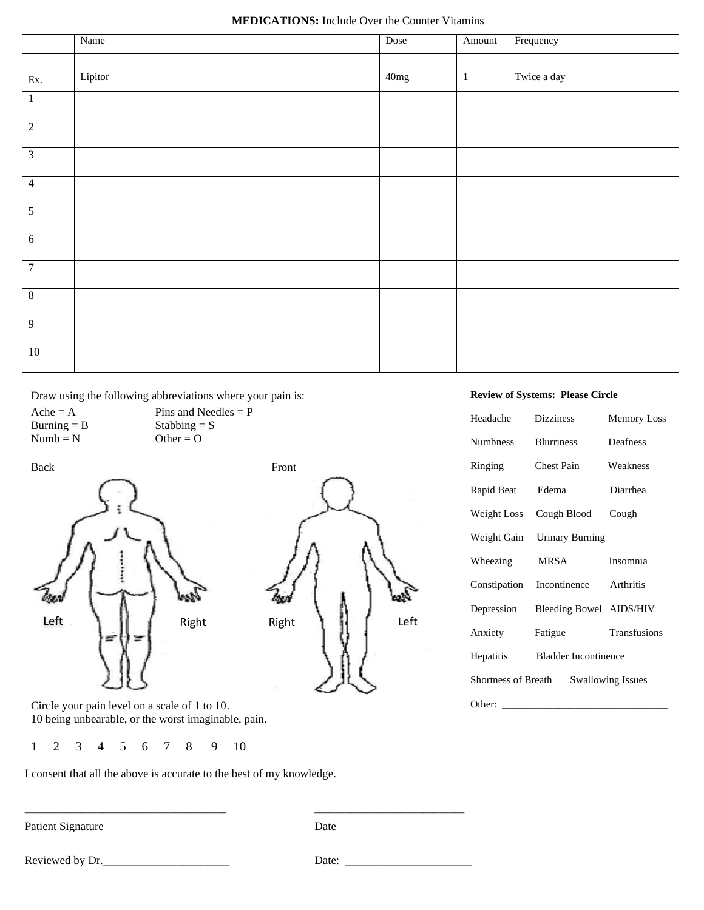|                         | Name    | Dose             | Amount       | Frequency   |
|-------------------------|---------|------------------|--------------|-------------|
| $\mathop{\textrm{Ex.}}$ | Lipitor | $40 \mathrm{mg}$ | $\mathbf{1}$ | Twice a day |
| $1\,$                   |         |                  |              |             |
| $\sqrt{2}$              |         |                  |              |             |
| $\overline{\mathbf{3}}$ |         |                  |              |             |
| $\overline{4}$          |         |                  |              |             |
| $\mathfrak s$           |         |                  |              |             |
| $6\,$                   |         |                  |              |             |
| $\boldsymbol{7}$        |         |                  |              |             |
| $\overline{8}$          |         |                  |              |             |
| $\overline{9}$          |         |                  |              |             |
| $10\,$                  |         |                  |              |             |

Draw using the following abbreviations where your pain is:

 $Ache = A$  Pins and Needles = P Burning = B<br>
Numb = N<br>
Other = O  $Numb = N$ 



#### **Review of Systems: Please Circle**

| Headache                                        | <b>Dizziness</b>                    | <b>Memory Loss</b> |  |  |
|-------------------------------------------------|-------------------------------------|--------------------|--|--|
| <b>Numbness</b>                                 | <b>Blurriness</b>                   | Deafness           |  |  |
| Ringing                                         | Chest Pain                          | Weakness           |  |  |
| Rapid Beat                                      | Edema                               | Diarrhea           |  |  |
|                                                 | Weight Loss Cough Blood             | Cough              |  |  |
|                                                 | Weight Gain Urinary Burning         |                    |  |  |
| Wheezing                                        | MRSA                                | Insomnia           |  |  |
|                                                 | Constipation Incontinence Arthritis |                    |  |  |
| Depression                                      | Bleeding Bowel AIDS/HIV             |                    |  |  |
| Anxiety                                         | Fatigue                             | Transfusions       |  |  |
| Hepatitis                                       | <b>Bladder Incontinence</b>         |                    |  |  |
| <b>Swallowing Issues</b><br>Shortness of Breath |                                     |                    |  |  |
| Other:                                          |                                     |                    |  |  |

Circle your pain level on a scale of 1 to 10. 10 being unbearable, or the worst imaginable, pain.

1 2 3 4 5 6 7 8 9 10

I consent that all the above is accurate to the best of my knowledge.

\_\_\_\_\_\_\_\_\_\_\_\_\_\_\_\_\_\_\_\_\_\_\_\_\_\_\_\_\_\_\_\_\_\_\_\_\_\_\_ \_\_\_\_\_\_\_\_\_\_\_\_\_\_\_\_\_\_\_\_\_\_\_\_\_\_\_\_\_

Patient Signature Date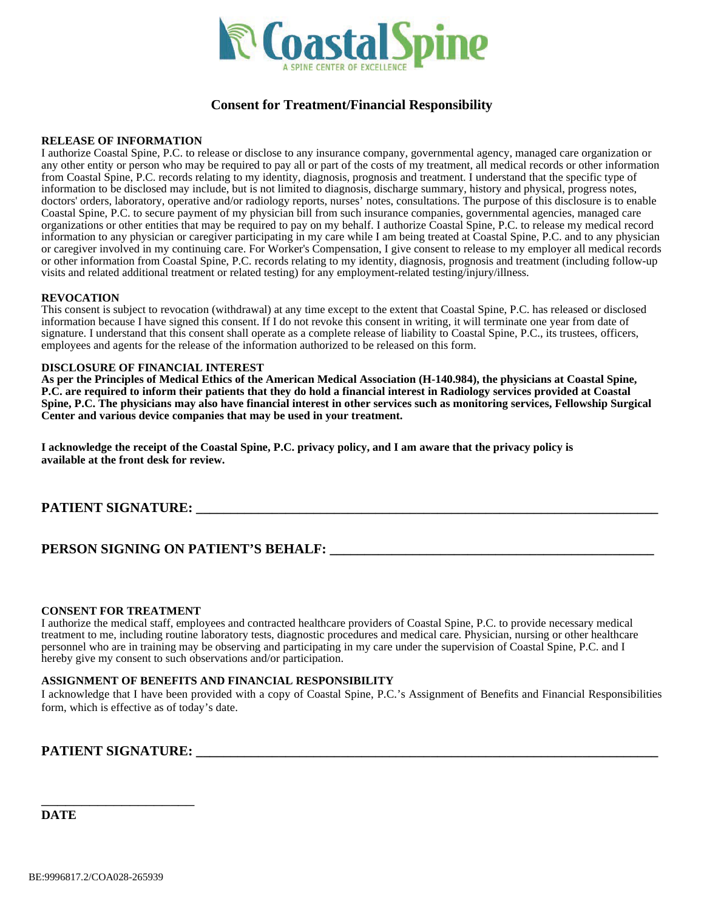

## **Consent for Treatment/Financial Responsibility**

#### **RELEASE OF INFORMATION**

I authorize Coastal Spine, P.C. to release or disclose to any insurance company, governmental agency, managed care organization or any other entity or person who may be required to pay all or part of the costs of my treatment, all medical records or other information from Coastal Spine, P.C. records relating to my identity, diagnosis, prognosis and treatment. I understand that the specific type of information to be disclosed may include, but is not limited to diagnosis, discharge summary, history and physical, progress notes, doctors' orders, laboratory, operative and/or radiology reports, nurses' notes, consultations. The purpose of this disclosure is to enable Coastal Spine, P.C. to secure payment of my physician bill from such insurance companies, governmental agencies, managed care organizations or other entities that may be required to pay on my behalf. I authorize Coastal Spine, P.C. to release my medical record information to any physician or caregiver participating in my care while I am being treated at Coastal Spine, P.C. and to any physician or caregiver involved in my continuing care. For Worker's Compensation, I give consent to release to my employer all medical records or other information from Coastal Spine, P.C. records relating to my identity, diagnosis, prognosis and treatment (including follow-up visits and related additional treatment or related testing) for any employment-related testing/injury/illness.

#### **REVOCATION**

This consent is subject to revocation (withdrawal) at any time except to the extent that Coastal Spine, P.C. has released or disclosed information because I have signed this consent. If I do not revoke this consent in writing, it will terminate one year from date of signature. I understand that this consent shall operate as a complete release of liability to Coastal Spine, P.C., its trustees, officers, employees and agents for the release of the information authorized to be released on this form.

#### **DISCLOSURE OF FINANCIAL INTEREST**

**As per the Principles of Medical Ethics of the American Medical Association (H-140.984), the physicians at Coastal Spine, P.C. are required to inform their patients that they do hold a financial interest in Radiology services provided at Coastal Spine, P.C. The physicians may also have financial interest in other services such as monitoring services, Fellowship Surgical Center and various device companies that may be used in your treatment.**

**I acknowledge the receipt of the Coastal Spine, P.C. privacy policy, and I am aware that the privacy policy is available at the front desk for review.**

#### **PATIENT SIGNATURE: \_\_\_\_\_\_\_\_\_\_\_\_\_\_\_\_\_\_\_\_\_\_\_\_\_\_\_\_\_\_\_\_\_\_\_\_\_\_\_\_\_\_\_\_\_\_\_\_\_\_\_\_\_\_\_\_\_\_\_\_\_\_\_\_\_\_\_**

## **PERSON SIGNING ON PATIENT'S BEHALF: \_\_\_\_\_\_\_\_\_\_\_\_\_\_\_\_\_\_\_\_\_\_\_\_\_\_\_\_\_\_\_\_\_\_\_\_\_\_\_\_\_\_\_\_\_\_\_**

#### **CONSENT FOR TREATMENT**

I authorize the medical staff, employees and contracted healthcare providers of Coastal Spine, P.C. to provide necessary medical treatment to me, including routine laboratory tests, diagnostic procedures and medical care. Physician, nursing or other healthcare personnel who are in training may be observing and participating in my care under the supervision of Coastal Spine, P.C. and I hereby give my consent to such observations and/or participation.

#### **ASSIGNMENT OF BENEFITS AND FINANCIAL RESPONSIBILITY**

I acknowledge that I have been provided with a copy of Coastal Spine, P.C.'s Assignment of Benefits and Financial Responsibilities form, which is effective as of today's date.

#### **PATIENT SIGNATURE: \_\_\_\_\_\_\_\_\_\_\_\_\_\_\_\_\_\_\_\_\_\_\_\_\_\_\_\_\_\_\_\_\_\_\_\_\_\_\_\_\_\_\_\_\_\_\_\_\_\_\_\_\_\_\_\_\_\_\_\_\_\_\_\_\_\_\_**

\_\_\_\_\_\_\_\_\_\_\_\_\_\_\_\_\_\_\_

**DATE**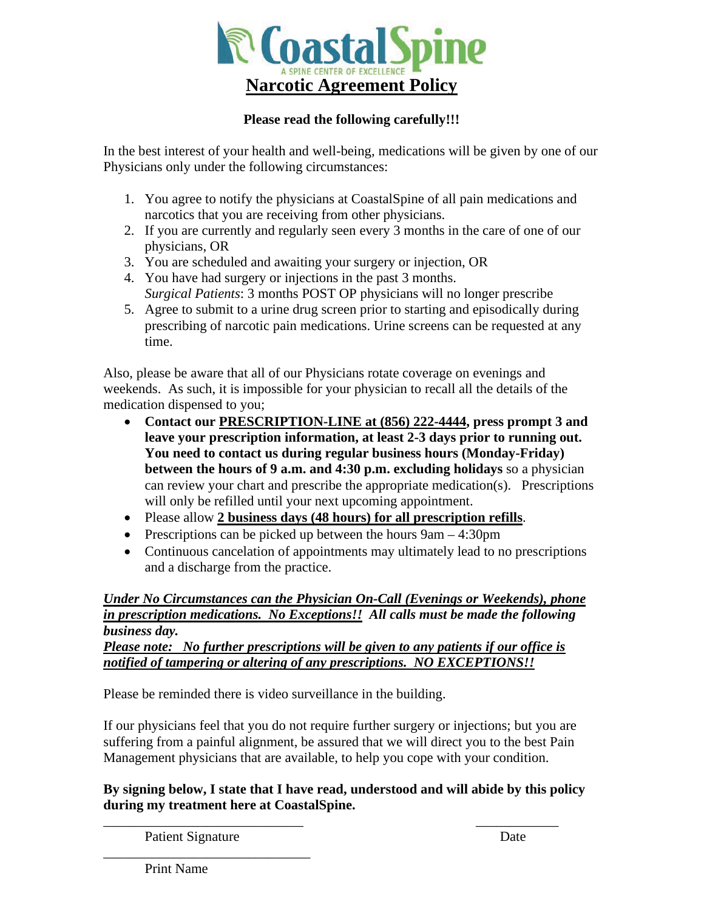

## **Please read the following carefully!!!**

In the best interest of your health and well-being, medications will be given by one of our Physicians only under the following circumstances:

- 1. You agree to notify the physicians at CoastalSpine of all pain medications and narcotics that you are receiving from other physicians.
- 2. If you are currently and regularly seen every 3 months in the care of one of our physicians, OR
- 3. You are scheduled and awaiting your surgery or injection, OR
- 4. You have had surgery or injections in the past 3 months. *Surgical Patients*: 3 months POST OP physicians will no longer prescribe
- 5. Agree to submit to a urine drug screen prior to starting and episodically during prescribing of narcotic pain medications. Urine screens can be requested at any time.

Also, please be aware that all of our Physicians rotate coverage on evenings and weekends. As such, it is impossible for your physician to recall all the details of the medication dispensed to you;

- **Contact our PRESCRIPTION-LINE at (856) 222-4444, press prompt 3 and leave your prescription information, at least 2-3 days prior to running out. You need to contact us during regular business hours (Monday-Friday) between the hours of 9 a.m. and 4:30 p.m. excluding holidays** so a physician can review your chart and prescribe the appropriate medication(s). Prescriptions will only be refilled until your next upcoming appointment.
- Please allow **2 business days (48 hours) for all prescription refills**.
- Prescriptions can be picked up between the hours  $9am 4:30pm$
- Continuous cancelation of appointments may ultimately lead to no prescriptions and a discharge from the practice.

## *Under No Circumstances can the Physician On-Call (Evenings or Weekends), phone in prescription medications. No Exceptions!! All calls must be made the following business day.*

*Please note: No further prescriptions will be given to any patients if our office is notified of tampering or altering of any prescriptions. NO EXCEPTIONS!!*

Please be reminded there is video surveillance in the building.

If our physicians feel that you do not require further surgery or injections; but you are suffering from a painful alignment, be assured that we will direct you to the best Pain Management physicians that are available, to help you cope with your condition.

## **By signing below, I state that I have read, understood and will abide by this policy during my treatment here at CoastalSpine.**

 $\overline{\phantom{a}}$  , and the contract of the contract of the contract of the contract of the contract of the contract of the contract of the contract of the contract of the contract of the contract of the contract of the contrac

Patient Signature Date

\_\_\_\_\_\_\_\_\_\_\_\_\_\_\_\_\_\_\_\_\_\_\_\_\_\_\_\_\_\_

Print Name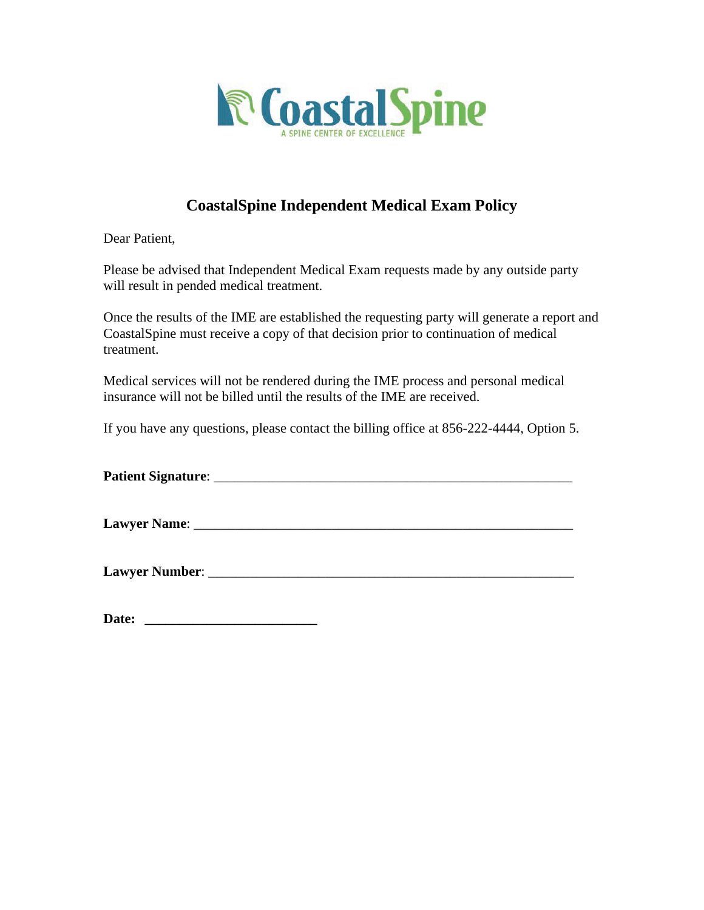

## **CoastalSpine Independent Medical Exam Policy**

Dear Patient,

Please be advised that Independent Medical Exam requests made by any outside party will result in pended medical treatment.

Once the results of the IME are established the requesting party will generate a report and CoastalSpine must receive a copy of that decision prior to continuation of medical treatment.

Medical services will not be rendered during the IME process and personal medical insurance will not be billed until the results of the IME are received.

If you have any questions, please contact the billing office at 856-222-4444, Option 5.

**Patient Signature**: \_\_\_\_\_\_\_\_\_\_\_\_\_\_\_\_\_\_\_\_\_\_\_\_\_\_\_\_\_\_\_\_\_\_\_\_\_\_\_\_\_\_\_\_\_\_\_\_\_\_\_\_

**Lawyer Name:**  $\blacksquare$ 

**Lawyer Number:**  $\blacksquare$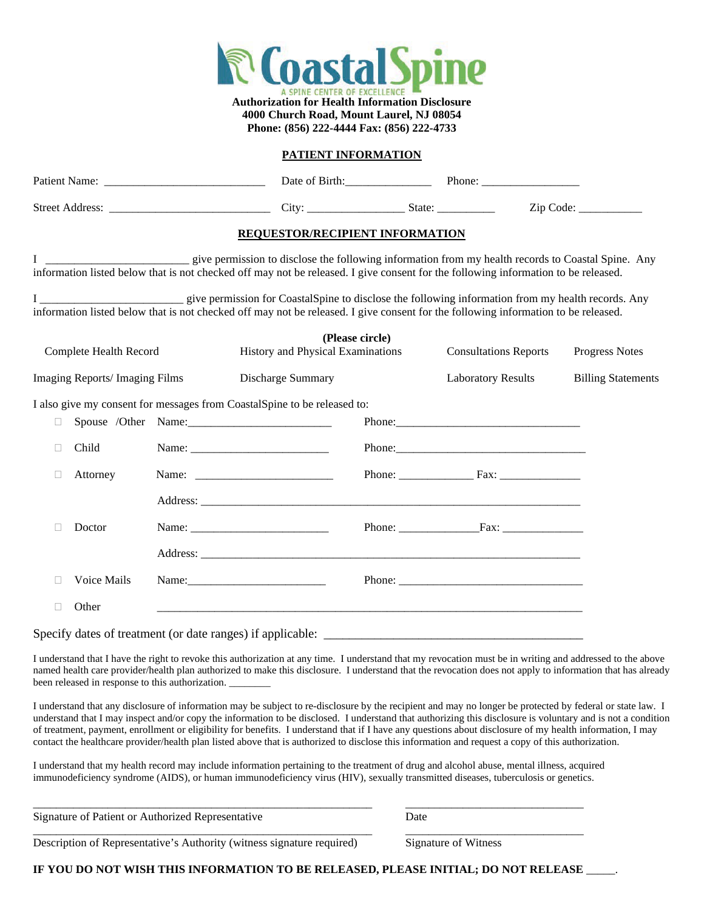

**Authorization for Health Information Disclosure 4000 Church Road, Mount Laurel, NJ 08054 Phone: (856) 222-4444 Fax: (856) 222-4733**

#### **PATIENT INFORMATION**

|                                |  | Date of Birth: Phone: Phone:                                                                                                                                                                                                                                             |                                                      |                                              |                           |
|--------------------------------|--|--------------------------------------------------------------------------------------------------------------------------------------------------------------------------------------------------------------------------------------------------------------------------|------------------------------------------------------|----------------------------------------------|---------------------------|
|                                |  |                                                                                                                                                                                                                                                                          |                                                      |                                              | Zip Code:                 |
|                                |  | REQUESTOR/RECIPIENT INFORMATION                                                                                                                                                                                                                                          |                                                      |                                              |                           |
|                                |  | give permission to disclose the following information from my health records to Coastal Spine. Any<br>information listed below that is not checked off may not be released. I give consent for the following information to be released.                                 |                                                      |                                              |                           |
|                                |  | I _____________________________ give permission for CoastalSpine to disclose the following information from my health records. Any<br>information listed below that is not checked off may not be released. I give consent for the following information to be released. |                                                      |                                              |                           |
| Complete Health Record         |  |                                                                                                                                                                                                                                                                          | (Please circle)<br>History and Physical Examinations |                                              | <b>Progress Notes</b>     |
| Imaging Reports/ Imaging Films |  | Discharge Summary                                                                                                                                                                                                                                                        |                                                      | <b>Laboratory Results</b>                    | <b>Billing Statements</b> |
|                                |  | I also give my consent for messages from CoastalSpine to be released to:                                                                                                                                                                                                 |                                                      |                                              |                           |
| $\Box$                         |  | Spouse /Other Name:                                                                                                                                                                                                                                                      |                                                      |                                              |                           |
| Child                          |  |                                                                                                                                                                                                                                                                          |                                                      |                                              |                           |
| Attorney                       |  | Name: $\frac{1}{\sqrt{1-\frac{1}{2}} \cdot \frac{1}{2}}$                                                                                                                                                                                                                 |                                                      | Phone: $\frac{1}{2}$ Fax: $\frac{1}{2}$ Fax: |                           |
|                                |  |                                                                                                                                                                                                                                                                          |                                                      |                                              |                           |
| Doctor                         |  |                                                                                                                                                                                                                                                                          |                                                      | Phone: Fax: Fax:                             |                           |
|                                |  |                                                                                                                                                                                                                                                                          |                                                      |                                              |                           |
| Voice Mails                    |  |                                                                                                                                                                                                                                                                          |                                                      | Phone: $\sqrt{ }$                            |                           |
| Other<br>П                     |  |                                                                                                                                                                                                                                                                          |                                                      |                                              |                           |
|                                |  |                                                                                                                                                                                                                                                                          |                                                      |                                              |                           |

I understand that I have the right to revoke this authorization at any time. I understand that my revocation must be in writing and addressed to the above named health care provider/health plan authorized to make this disclosure. I understand that the revocation does not apply to information that has already been released in response to this authorization. \_\_

I understand that any disclosure of information may be subject to re-disclosure by the recipient and may no longer be protected by federal or state law. I understand that I may inspect and/or copy the information to be disclosed. I understand that authorizing this disclosure is voluntary and is not a condition of treatment, payment, enrollment or eligibility for benefits. I understand that if I have any questions about disclosure of my health information, I may contact the healthcare provider/health plan listed above that is authorized to disclose this information and request a copy of this authorization.

I understand that my health record may include information pertaining to the treatment of drug and alcohol abuse, mental illness, acquired immunodeficiency syndrome (AIDS), or human immunodeficiency virus (HIV), sexually transmitted diseases, tuberculosis or genetics.

| Signature of Patient or Authorized Represer | Date |
|---------------------------------------------|------|
|                                             |      |

Description of Representative's Authority (witness signature required) Signature of Witness

**IF YOU DO NOT WISH THIS INFORMATION TO BE RELEASED, PLEASE INITIAL; DO NOT RELEASE** \_\_\_\_\_.